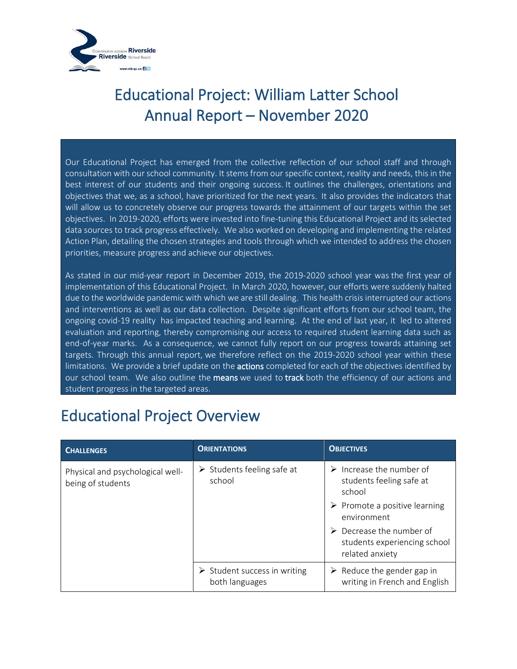

Our Educational Project has emerged from the collective reflection of our school staff and through consultation with our school community. It stems from our specific context, reality and needs, this in the best interest of our students and their ongoing success. It outlines the challenges, orientations and objectives that we, as a school, have prioritized for the next years. It also provides the indicators that will allow us to concretely observe our progress towards the attainment of our targets within the set objectives. In 2019-2020, efforts were invested into fine-tuning this Educational Project and its selected data sources to track progress effectively. We also worked on developing and implementing the related Action Plan, detailing the chosen strategies and tools through which we intended to address the chosen priorities, measure progress and achieve our objectives.

As stated in our mid-year report in December 2019, the 2019-2020 school year was the first year of implementation of this Educational Project. In March 2020, however, our efforts were suddenly halted due to the worldwide pandemic with which we are still dealing. This health crisis interrupted our actions and interventions as well as our data collection. Despite significant efforts from our school team, the ongoing covid-19 reality has impacted teaching and learning. At the end of last year, it led to altered evaluation and reporting, thereby compromising our access to required student learning data such as end-of-year marks. As a consequence, we cannot fully report on our progress towards attaining set targets. Through this annual report, we therefore reflect on the 2019-2020 school year within these limitations. We provide a brief update on the **actions** completed for each of the objectives identified by our school team. We also outline the means we used to track both the efficiency of our actions and student progress in the targeted areas.

#### Educational Project Overview

| <b>CHALLENGES</b>                                     | <b>ORIENTATIONS</b>                                           | <b>OBJECTIVES</b>                                                             |
|-------------------------------------------------------|---------------------------------------------------------------|-------------------------------------------------------------------------------|
| Physical and psychological well-<br>being of students | $\triangleright$ Students feeling safe at<br>school           | $\triangleright$ Increase the number of<br>students feeling safe at<br>school |
|                                                       |                                                               | $\triangleright$ Promote a positive learning<br>environment                   |
|                                                       |                                                               | Decrease the number of<br>students experiencing school<br>related anxiety     |
|                                                       | $\triangleright$ Student success in writing<br>both languages | $\triangleright$ Reduce the gender gap in<br>writing in French and English    |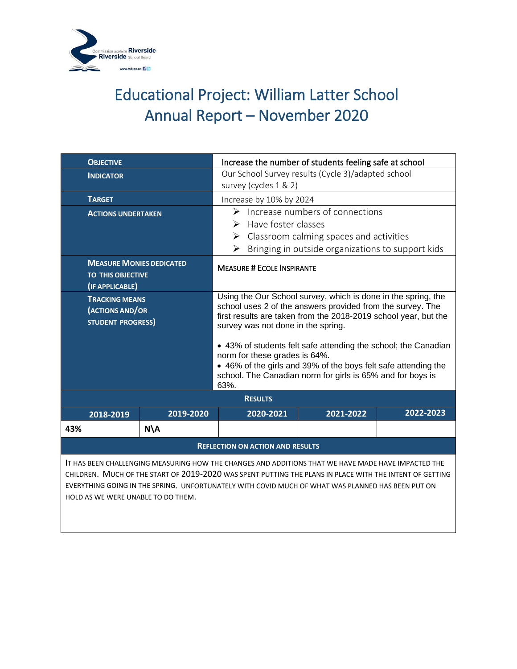

| <b>OBJECTIVE</b>                                                                                                                                                                                                                                                                                                                                           |                | Increase the number of students feeling safe at school                                                                                                                                                                                                                                                                                                                                                                                                                          |           |           |  |
|------------------------------------------------------------------------------------------------------------------------------------------------------------------------------------------------------------------------------------------------------------------------------------------------------------------------------------------------------------|----------------|---------------------------------------------------------------------------------------------------------------------------------------------------------------------------------------------------------------------------------------------------------------------------------------------------------------------------------------------------------------------------------------------------------------------------------------------------------------------------------|-----------|-----------|--|
| <b>INDICATOR</b>                                                                                                                                                                                                                                                                                                                                           |                | Our School Survey results (Cycle 3)/adapted school<br>survey (cycles 1 & 2)                                                                                                                                                                                                                                                                                                                                                                                                     |           |           |  |
| <b>TARGET</b>                                                                                                                                                                                                                                                                                                                                              |                | Increase by 10% by 2024                                                                                                                                                                                                                                                                                                                                                                                                                                                         |           |           |  |
| <b>ACTIONS UNDERTAKEN</b>                                                                                                                                                                                                                                                                                                                                  |                | Increase numbers of connections<br>➤<br>Have foster classes<br>➤<br>$\triangleright$ Classroom calming spaces and activities<br>Bringing in outside organizations to support kids<br>➤                                                                                                                                                                                                                                                                                          |           |           |  |
| <b>MEASURE MONIES DEDICATED</b><br><b>TO THIS OBJECTIVE</b><br>(IF APPLICABLE)                                                                                                                                                                                                                                                                             |                | <b>MEASURE # ECOLE INSPIRANTE</b>                                                                                                                                                                                                                                                                                                                                                                                                                                               |           |           |  |
| <b>TRACKING MEANS</b><br>(ACTIONS AND/OR<br><b>STUDENT PROGRESS)</b>                                                                                                                                                                                                                                                                                       |                | Using the Our School survey, which is done in the spring, the<br>school uses 2 of the answers provided from the survey. The<br>first results are taken from the 2018-2019 school year, but the<br>survey was not done in the spring.<br>• 43% of students felt safe attending the school; the Canadian<br>norm for these grades is 64%.<br>• 46% of the girls and 39% of the boys felt safe attending the<br>school. The Canadian norm for girls is 65% and for boys is<br>63%. |           |           |  |
| <b>RESULTS</b>                                                                                                                                                                                                                                                                                                                                             |                |                                                                                                                                                                                                                                                                                                                                                                                                                                                                                 |           |           |  |
| 2018-2019                                                                                                                                                                                                                                                                                                                                                  | 2019-2020      | 2020-2021                                                                                                                                                                                                                                                                                                                                                                                                                                                                       | 2021-2022 | 2022-2023 |  |
| 43%                                                                                                                                                                                                                                                                                                                                                        | $N\setminus A$ |                                                                                                                                                                                                                                                                                                                                                                                                                                                                                 |           |           |  |
| <b>REFLECTION ON ACTION AND RESULTS</b>                                                                                                                                                                                                                                                                                                                    |                |                                                                                                                                                                                                                                                                                                                                                                                                                                                                                 |           |           |  |
| IT HAS BEEN CHALLENGING MEASURING HOW THE CHANGES AND ADDITIONS THAT WE HAVE MADE HAVE IMPACTED THE<br>CHILDREN. MUCH OF THE START OF 2019-2020 WAS SPENT PUTTING THE PLANS IN PLACE WITH THE INTENT OF GETTING<br>EVERYTHING GOING IN THE SPRING. UNFORTUNATELY WITH COVID MUCH OF WHAT WAS PLANNED HAS BEEN PUT ON<br>HOLD AS WE WERE UNABLE TO DO THEM. |                |                                                                                                                                                                                                                                                                                                                                                                                                                                                                                 |           |           |  |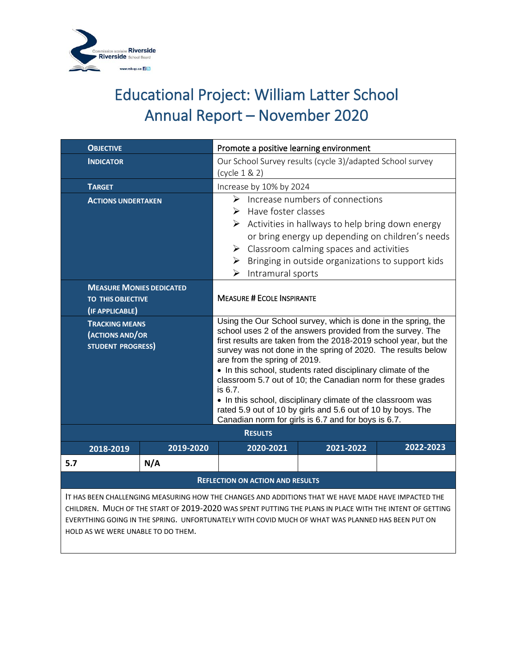

| <b>OBJECTIVE</b>                                                                                                                                                                                                                                                                                                                                           |           | Promote a positive learning environment                                                                                                                                                                                                                                                                                                                                                                                                                                                                                                                                                                                       |           |           |  |
|------------------------------------------------------------------------------------------------------------------------------------------------------------------------------------------------------------------------------------------------------------------------------------------------------------------------------------------------------------|-----------|-------------------------------------------------------------------------------------------------------------------------------------------------------------------------------------------------------------------------------------------------------------------------------------------------------------------------------------------------------------------------------------------------------------------------------------------------------------------------------------------------------------------------------------------------------------------------------------------------------------------------------|-----------|-----------|--|
| <b>INDICATOR</b>                                                                                                                                                                                                                                                                                                                                           |           | Our School Survey results (cycle 3)/adapted School survey<br>(cycle 1 & 2)                                                                                                                                                                                                                                                                                                                                                                                                                                                                                                                                                    |           |           |  |
| <b>TARGET</b>                                                                                                                                                                                                                                                                                                                                              |           | Increase by 10% by 2024                                                                                                                                                                                                                                                                                                                                                                                                                                                                                                                                                                                                       |           |           |  |
| <b>ACTIONS UNDERTAKEN</b>                                                                                                                                                                                                                                                                                                                                  |           | Increase numbers of connections<br>➤<br>Have foster classes<br>➤<br>$\triangleright$ Activities in hallways to help bring down energy<br>or bring energy up depending on children's needs<br>$\triangleright$ Classroom calming spaces and activities<br>Bringing in outside organizations to support kids<br>➤<br>$\triangleright$ Intramural sports                                                                                                                                                                                                                                                                         |           |           |  |
| <b>MEASURE MONIES DEDICATED</b><br><b>TO THIS OBJECTIVE</b><br>(IF APPLICABLE)                                                                                                                                                                                                                                                                             |           | <b>MEASURE # ECOLE INSPIRANTE</b>                                                                                                                                                                                                                                                                                                                                                                                                                                                                                                                                                                                             |           |           |  |
| <b>TRACKING MEANS</b><br>(ACTIONS AND/OR<br><b>STUDENT PROGRESS)</b>                                                                                                                                                                                                                                                                                       |           | Using the Our School survey, which is done in the spring, the<br>school uses 2 of the answers provided from the survey. The<br>first results are taken from the 2018-2019 school year, but the<br>survey was not done in the spring of 2020. The results below<br>are from the spring of 2019.<br>• In this school, students rated disciplinary climate of the<br>classroom 5.7 out of 10; the Canadian norm for these grades<br>is 6.7.<br>• In this school, disciplinary climate of the classroom was<br>rated 5.9 out of 10 by girls and 5.6 out of 10 by boys. The<br>Canadian norm for girls is 6.7 and for boys is 6.7. |           |           |  |
| <b>RESULTS</b>                                                                                                                                                                                                                                                                                                                                             |           |                                                                                                                                                                                                                                                                                                                                                                                                                                                                                                                                                                                                                               |           |           |  |
| 2018-2019                                                                                                                                                                                                                                                                                                                                                  | 2019-2020 | 2020-2021                                                                                                                                                                                                                                                                                                                                                                                                                                                                                                                                                                                                                     | 2021-2022 | 2022-2023 |  |
| 5.7                                                                                                                                                                                                                                                                                                                                                        | N/A       |                                                                                                                                                                                                                                                                                                                                                                                                                                                                                                                                                                                                                               |           |           |  |
| <b>REFLECTION ON ACTION AND RESULTS</b>                                                                                                                                                                                                                                                                                                                    |           |                                                                                                                                                                                                                                                                                                                                                                                                                                                                                                                                                                                                                               |           |           |  |
| IT HAS BEEN CHALLENGING MEASURING HOW THE CHANGES AND ADDITIONS THAT WE HAVE MADE HAVE IMPACTED THE<br>CHILDREN. MUCH OF THE START OF 2019-2020 WAS SPENT PUTTING THE PLANS IN PLACE WITH THE INTENT OF GETTING<br>EVERYTHING GOING IN THE SPRING. UNFORTUNATELY WITH COVID MUCH OF WHAT WAS PLANNED HAS BEEN PUT ON<br>HOLD AS WE WERE UNABLE TO DO THEM. |           |                                                                                                                                                                                                                                                                                                                                                                                                                                                                                                                                                                                                                               |           |           |  |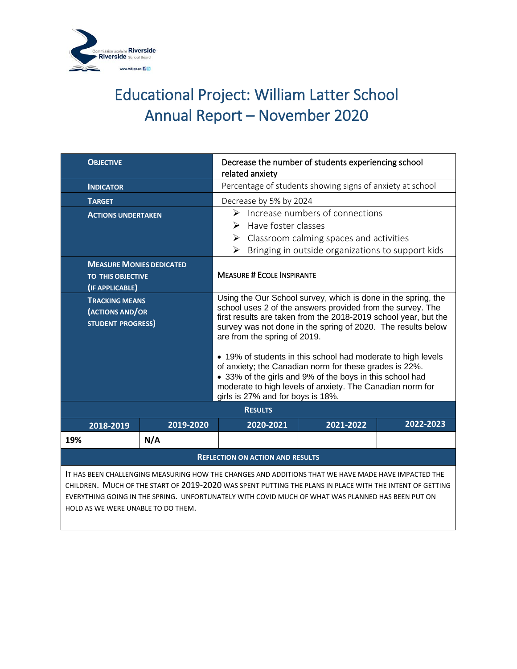

| <b>OBJECTIVE</b>                                                                                                                                                                                                                                                                                                                                           |           | Decrease the number of students experiencing school<br>related anxiety                                                                                                                                                                                                                                                                                                                                                                                                                                                                                                                 |           |           |  |
|------------------------------------------------------------------------------------------------------------------------------------------------------------------------------------------------------------------------------------------------------------------------------------------------------------------------------------------------------------|-----------|----------------------------------------------------------------------------------------------------------------------------------------------------------------------------------------------------------------------------------------------------------------------------------------------------------------------------------------------------------------------------------------------------------------------------------------------------------------------------------------------------------------------------------------------------------------------------------------|-----------|-----------|--|
| <b>INDICATOR</b>                                                                                                                                                                                                                                                                                                                                           |           | Percentage of students showing signs of anxiety at school                                                                                                                                                                                                                                                                                                                                                                                                                                                                                                                              |           |           |  |
| <b>TARGET</b>                                                                                                                                                                                                                                                                                                                                              |           | Decrease by 5% by 2024                                                                                                                                                                                                                                                                                                                                                                                                                                                                                                                                                                 |           |           |  |
| <b>ACTIONS UNDERTAKEN</b>                                                                                                                                                                                                                                                                                                                                  |           | Increase numbers of connections<br>↘<br>Have foster classes<br>➤<br>Classroom calming spaces and activities<br>➤<br>Bringing in outside organizations to support kids<br>➤                                                                                                                                                                                                                                                                                                                                                                                                             |           |           |  |
| <b>MEASURE MONIES DEDICATED</b><br><b>TO THIS OBJECTIVE</b><br>(IF APPLICABLE)                                                                                                                                                                                                                                                                             |           | <b>MEASURE # ECOLE INSPIRANTE</b>                                                                                                                                                                                                                                                                                                                                                                                                                                                                                                                                                      |           |           |  |
| <b>TRACKING MEANS</b><br>(ACTIONS AND/OR<br><b>STUDENT PROGRESS)</b>                                                                                                                                                                                                                                                                                       |           | Using the Our School survey, which is done in the spring, the<br>school uses 2 of the answers provided from the survey. The<br>first results are taken from the 2018-2019 school year, but the<br>survey was not done in the spring of 2020. The results below<br>are from the spring of 2019.<br>• 19% of students in this school had moderate to high levels<br>of anxiety; the Canadian norm for these grades is 22%.<br>• 33% of the girls and 9% of the boys in this school had<br>moderate to high levels of anxiety. The Canadian norm for<br>girls is 27% and for boys is 18%. |           |           |  |
|                                                                                                                                                                                                                                                                                                                                                            |           | <b>RESULTS</b>                                                                                                                                                                                                                                                                                                                                                                                                                                                                                                                                                                         |           |           |  |
| 2018-2019                                                                                                                                                                                                                                                                                                                                                  | 2019-2020 | 2020-2021                                                                                                                                                                                                                                                                                                                                                                                                                                                                                                                                                                              | 2021-2022 | 2022-2023 |  |
| 19%                                                                                                                                                                                                                                                                                                                                                        | N/A       |                                                                                                                                                                                                                                                                                                                                                                                                                                                                                                                                                                                        |           |           |  |
| <b>REFLECTION ON ACTION AND RESULTS</b>                                                                                                                                                                                                                                                                                                                    |           |                                                                                                                                                                                                                                                                                                                                                                                                                                                                                                                                                                                        |           |           |  |
| IT HAS BEEN CHALLENGING MEASURING HOW THE CHANGES AND ADDITIONS THAT WE HAVE MADE HAVE IMPACTED THE<br>CHILDREN. MUCH OF THE START OF 2019-2020 WAS SPENT PUTTING THE PLANS IN PLACE WITH THE INTENT OF GETTING<br>EVERYTHING GOING IN THE SPRING. UNFORTUNATELY WITH COVID MUCH OF WHAT WAS PLANNED HAS BEEN PUT ON<br>HOLD AS WE WERE UNABLE TO DO THEM. |           |                                                                                                                                                                                                                                                                                                                                                                                                                                                                                                                                                                                        |           |           |  |